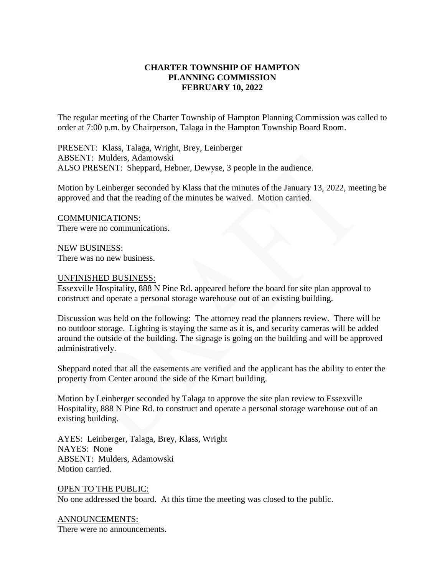## **CHARTER TOWNSHIP OF HAMPTON PLANNING COMMISSION FEBRUARY 10, 2022**

The regular meeting of the Charter Township of Hampton Planning Commission was called to order at 7:00 p.m. by Chairperson, Talaga in the Hampton Township Board Room.

PRESENT: Klass, Talaga, Wright, Brey, Leinberger ABSENT: Mulders, Adamowski ALSO PRESENT: Sheppard, Hebner, Dewyse, 3 people in the audience.

Motion by Leinberger seconded by Klass that the minutes of the January 13, 2022, meeting be approved and that the reading of the minutes be waived. Motion carried.

COMMUNICATIONS: There were no communications.

NEW BUSINESS: There was no new business.

## UNFINISHED BUSINESS:

Essexville Hospitality, 888 N Pine Rd. appeared before the board for site plan approval to construct and operate a personal storage warehouse out of an existing building.

Discussion was held on the following: The attorney read the planners review. There will be no outdoor storage. Lighting is staying the same as it is, and security cameras will be added around the outside of the building. The signage is going on the building and will be approved administratively.

Sheppard noted that all the easements are verified and the applicant has the ability to enter the property from Center around the side of the Kmart building.

Motion by Leinberger seconded by Talaga to approve the site plan review to Essexville Hospitality, 888 N Pine Rd. to construct and operate a personal storage warehouse out of an existing building.

AYES: Leinberger, Talaga, Brey, Klass, Wright NAYES: None ABSENT: Mulders, Adamowski Motion carried.

OPEN TO THE PUBLIC: No one addressed the board. At this time the meeting was closed to the public.

ANNOUNCEMENTS: There were no announcements.